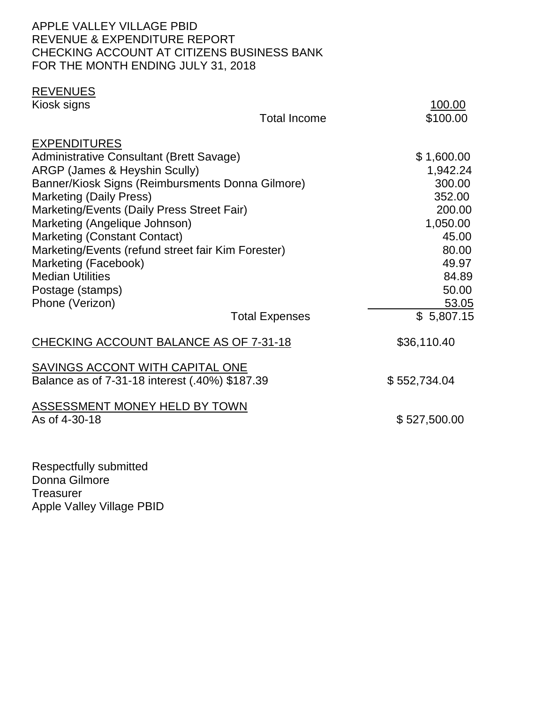#### APPLE VALLEY VILLAGE PBID REVENUE & EXPENDITURE REPORT CHECKING ACCOUNT AT CITIZENS BUSINESS BANK FOR THE MONTH ENDING JULY 31, 2018

# **REVENUES**<br>Kiosk signs

| Kiosk signs                                                                                                                                                                                                                                                                                                                                                                                                                                                  |                       | 100.00                                                                                                                 |
|--------------------------------------------------------------------------------------------------------------------------------------------------------------------------------------------------------------------------------------------------------------------------------------------------------------------------------------------------------------------------------------------------------------------------------------------------------------|-----------------------|------------------------------------------------------------------------------------------------------------------------|
|                                                                                                                                                                                                                                                                                                                                                                                                                                                              | <b>Total Income</b>   | \$100.00                                                                                                               |
| <b>EXPENDITURES</b><br>Administrative Consultant (Brett Savage)<br>ARGP (James & Heyshin Scully)<br>Banner/Kiosk Signs (Reimbursments Donna Gilmore)<br><b>Marketing (Daily Press)</b><br>Marketing/Events (Daily Press Street Fair)<br>Marketing (Angelique Johnson)<br><b>Marketing (Constant Contact)</b><br>Marketing/Events (refund street fair Kim Forester)<br>Marketing (Facebook)<br><b>Median Utilities</b><br>Postage (stamps)<br>Phone (Verizon) |                       | \$1,600.00<br>1,942.24<br>300.00<br>352.00<br>200.00<br>1,050.00<br>45.00<br>80.00<br>49.97<br>84.89<br>50.00<br>53.05 |
|                                                                                                                                                                                                                                                                                                                                                                                                                                                              | <b>Total Expenses</b> | \$5,807.15                                                                                                             |
| <b>CHECKING ACCOUNT BALANCE AS OF 7-31-18</b>                                                                                                                                                                                                                                                                                                                                                                                                                |                       | \$36,110.40                                                                                                            |
| SAVINGS ACCONT WITH CAPITAL ONE<br>Balance as of 7-31-18 interest (.40%) \$187.39                                                                                                                                                                                                                                                                                                                                                                            |                       | \$552,734.04                                                                                                           |
| <b>ASSESSMENT MONEY HELD BY TOWN</b><br>As of 4-30-18                                                                                                                                                                                                                                                                                                                                                                                                        |                       | \$527,500.00                                                                                                           |
|                                                                                                                                                                                                                                                                                                                                                                                                                                                              |                       |                                                                                                                        |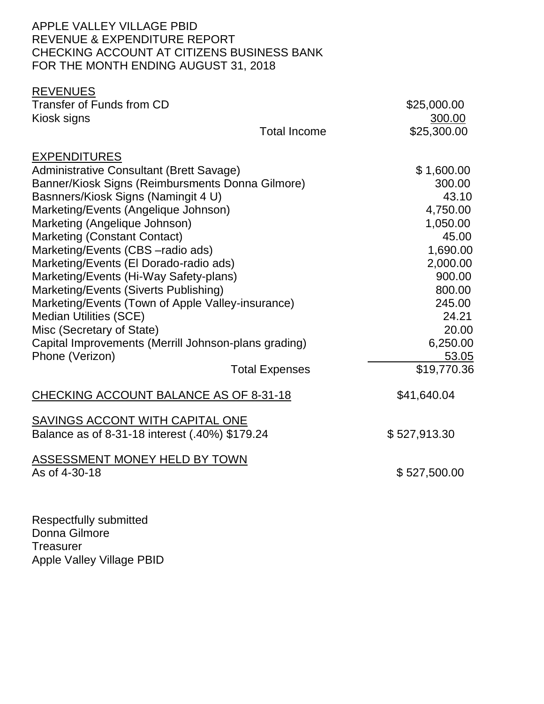#### APPLE VALLEY VILLAGE PBID REVENUE & EXPENDITURE REPORT CHECKING ACCOUNT AT CITIZENS BUSINESS BANK FOR THE MONTH ENDING AUGUST 31, 2018

| <b>REVENUES</b>                                      |                       |              |
|------------------------------------------------------|-----------------------|--------------|
| <b>Transfer of Funds from CD</b>                     |                       | \$25,000.00  |
| Kiosk signs                                          |                       | 300.00       |
|                                                      | <b>Total Income</b>   | \$25,300.00  |
| <b>EXPENDITURES</b>                                  |                       |              |
| <b>Administrative Consultant (Brett Savage)</b>      |                       | \$1,600.00   |
| Banner/Kiosk Signs (Reimbursments Donna Gilmore)     |                       | 300.00       |
| Basnners/Kiosk Signs (Namingit 4 U)                  |                       | 43.10        |
| Marketing/Events (Angelique Johnson)                 |                       | 4,750.00     |
| Marketing (Angelique Johnson)                        |                       | 1,050.00     |
| <b>Marketing (Constant Contact)</b>                  |                       | 45.00        |
| Marketing/Events (CBS - radio ads)                   |                       | 1,690.00     |
| Marketing/Events (El Dorado-radio ads)               |                       | 2,000.00     |
| Marketing/Events (Hi-Way Safety-plans)               |                       | 900.00       |
| Marketing/Events (Siverts Publishing)                |                       | 800.00       |
| Marketing/Events (Town of Apple Valley-insurance)    |                       | 245.00       |
| <b>Median Utilities (SCE)</b>                        |                       | 24.21        |
| Misc (Secretary of State)                            |                       | 20.00        |
| Capital Improvements (Merrill Johnson-plans grading) |                       | 6,250.00     |
| Phone (Verizon)                                      |                       | 53.05        |
|                                                      | <b>Total Expenses</b> | \$19,770.36  |
| <b>CHECKING ACCOUNT BALANCE AS OF 8-31-18</b>        |                       | \$41,640.04  |
| SAVINGS ACCONT WITH CAPITAL ONE                      |                       |              |
| Balance as of 8-31-18 interest (.40%) \$179.24       |                       | \$527,913.30 |
| <u>ASSESSMENT MONEY HELD BY TOWN</u>                 |                       |              |
| As of 4-30-18                                        |                       | \$527,500.00 |
|                                                      |                       |              |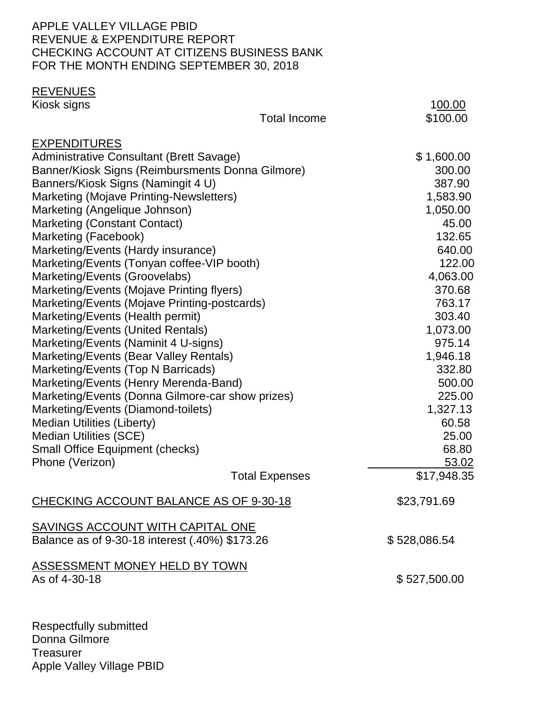#### APPLE VALLEY VILLAGE PBID REVENUE & EXPENDITURE REPORT CHECKING ACCOUNT AT CITIZENS BUSINESS BANK FOR THE MONTH ENDING SEPTEMBER 30, 2018

## **REVENUES**<br>Kiosk signs

| Kiosk signs                                                                 |                       | 100.00         |
|-----------------------------------------------------------------------------|-----------------------|----------------|
|                                                                             | <b>Total Income</b>   | \$100.00       |
| <b>EXPENDITURES</b>                                                         |                       |                |
| <b>Administrative Consultant (Brett Savage)</b>                             |                       | \$1,600.00     |
| Banner/Kiosk Signs (Reimbursments Donna Gilmore)                            |                       | 300.00         |
| Banners/Kiosk Signs (Namingit 4 U)                                          |                       | 387.90         |
| Marketing (Mojave Printing-Newsletters)                                     |                       | 1,583.90       |
| Marketing (Angelique Johnson)                                               |                       | 1,050.00       |
| <b>Marketing (Constant Contact)</b>                                         |                       | 45.00          |
| Marketing (Facebook)                                                        |                       | 132.65         |
| Marketing/Events (Hardy insurance)                                          |                       | 640.00         |
| Marketing/Events (Tonyan coffee-VIP booth)                                  |                       | 122.00         |
| Marketing/Events (Groovelabs)                                               |                       | 4,063.00       |
| Marketing/Events (Mojave Printing flyers)                                   |                       | 370.68         |
| Marketing/Events (Mojave Printing-postcards)                                |                       | 763.17         |
| Marketing/Events (Health permit)                                            |                       | 303.40         |
| Marketing/Events (United Rentals)                                           |                       | 1,073.00       |
| Marketing/Events (Naminit 4 U-signs)                                        |                       | 975.14         |
| Marketing/Events (Bear Valley Rentals)                                      |                       | 1,946.18       |
| Marketing/Events (Top N Barricads)<br>Marketing/Events (Henry Merenda-Band) |                       | 332.80         |
|                                                                             |                       | 500.00         |
| Marketing/Events (Donna Gilmore-car show prizes)                            |                       | 225.00         |
| Marketing/Events (Diamond-toilets)                                          |                       | 1,327.13       |
| <b>Median Utilities (Liberty)</b>                                           |                       | 60.58          |
| <b>Median Utilities (SCE)</b>                                               |                       | 25.00<br>68.80 |
| <b>Small Office Equipment (checks)</b><br>Phone (Verizon)                   |                       | 53.02          |
|                                                                             | <b>Total Expenses</b> | \$17,948.35    |
|                                                                             |                       |                |
| CHECKING ACCOUNT BALANCE AS OF 9-30-18                                      |                       | \$23,791.69    |
| <b>SAVINGS ACCOUNT WITH CAPITAL ONE</b>                                     |                       |                |
| Balance as of 9-30-18 interest (.40%) \$173.26                              |                       | \$528,086.54   |
| ASSESSMENT MONEY HELD BY TOWN                                               |                       |                |
| As of 4-30-18                                                               |                       | \$527,500.00   |
|                                                                             |                       |                |
|                                                                             |                       |                |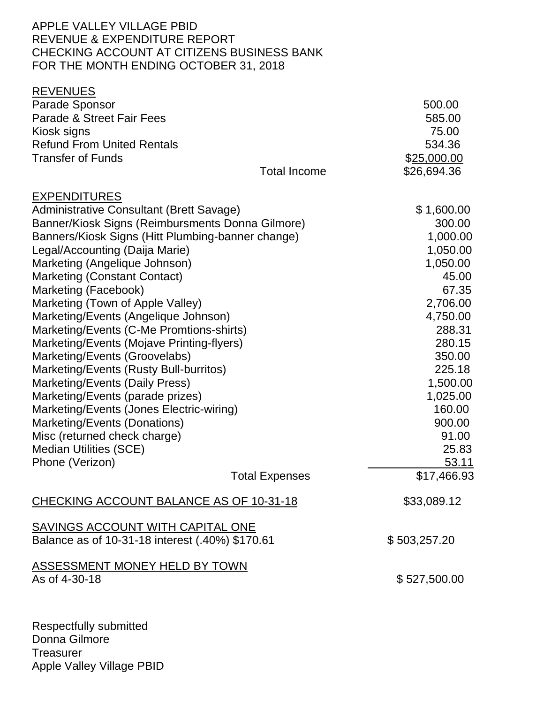#### APPLE VALLEY VILLAGE PBID REVENUE & EXPENDITURE REPORT CHECKING ACCOUNT AT CITIZENS BUSINESS BANK FOR THE MONTH ENDING OCTOBER 31, 2018

| <b>REVENUES</b>                                   |                       |              |
|---------------------------------------------------|-----------------------|--------------|
| <b>Parade Sponsor</b>                             |                       | 500.00       |
| Parade & Street Fair Fees                         |                       | 585.00       |
| Kiosk signs                                       |                       | 75.00        |
| <b>Refund From United Rentals</b>                 |                       | 534.36       |
| <b>Transfer of Funds</b>                          |                       | \$25,000.00  |
|                                                   | <b>Total Income</b>   | \$26,694.36  |
| <b>EXPENDITURES</b>                               |                       |              |
| Administrative Consultant (Brett Savage)          |                       | \$1,600.00   |
| Banner/Kiosk Signs (Reimbursments Donna Gilmore)  |                       | 300.00       |
| Banners/Kiosk Signs (Hitt Plumbing-banner change) |                       | 1,000.00     |
| Legal/Accounting (Daija Marie)                    |                       | 1,050.00     |
| Marketing (Angelique Johnson)                     |                       | 1,050.00     |
| <b>Marketing (Constant Contact)</b>               |                       | 45.00        |
| Marketing (Facebook)                              |                       | 67.35        |
| Marketing (Town of Apple Valley)                  |                       | 2,706.00     |
| Marketing/Events (Angelique Johnson)              |                       | 4,750.00     |
| Marketing/Events (C-Me Promtions-shirts)          |                       | 288.31       |
| Marketing/Events (Mojave Printing-flyers)         | 280.15                |              |
| Marketing/Events (Groovelabs)                     | 350.00                |              |
| Marketing/Events (Rusty Bull-burritos)            |                       | 225.18       |
| Marketing/Events (Daily Press)                    |                       | 1,500.00     |
| Marketing/Events (parade prizes)                  |                       | 1,025.00     |
| Marketing/Events (Jones Electric-wiring)          |                       | 160.00       |
| Marketing/Events (Donations)                      |                       | 900.00       |
| Misc (returned check charge)                      |                       | 91.00        |
| <b>Median Utilities (SCE)</b>                     |                       | 25.83        |
| Phone (Verizon)                                   |                       | 53.11        |
|                                                   | <b>Total Expenses</b> | \$17,466.93  |
| CHECKING ACCOUNT BALANCE AS OF 10-31-18           |                       | \$33,089.12  |
| SAVINGS ACCOUNT WITH CAPITAL ONE                  |                       |              |
| Balance as of 10-31-18 interest (.40%) \$170.61   |                       | \$503,257.20 |
| <b>ASSESSMENT MONEY HELD BY TOWN</b>              |                       |              |
| As of 4-30-18                                     |                       | \$527,500.00 |
|                                                   |                       |              |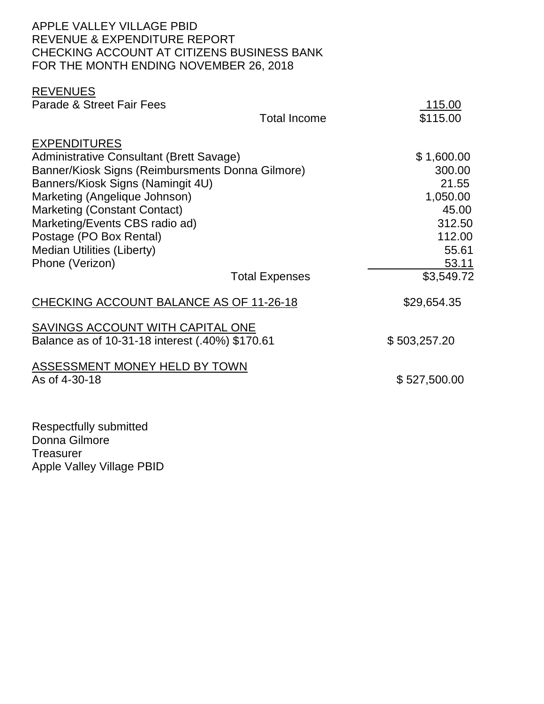#### APPLE VALLEY VILLAGE PBID REVENUE & EXPENDITURE REPORT CHECKING ACCOUNT AT CITIZENS BUSINESS BANK FOR THE MONTH ENDING NOVEMBER 26, 2018

#### REVENUES

| Parade & Street Fair Fees                                                                                                                                                                                                                                                 |                       | <u>115.00</u>                                                |
|---------------------------------------------------------------------------------------------------------------------------------------------------------------------------------------------------------------------------------------------------------------------------|-----------------------|--------------------------------------------------------------|
|                                                                                                                                                                                                                                                                           | <b>Total Income</b>   | \$115.00                                                     |
| <b>EXPENDITURES</b><br><b>Administrative Consultant (Brett Savage)</b><br>Banner/Kiosk Signs (Reimbursments Donna Gilmore)<br>Banners/Kiosk Signs (Namingit 4U)<br>Marketing (Angelique Johnson)<br><b>Marketing (Constant Contact)</b><br>Marketing/Events CBS radio ad) |                       | \$1,600.00<br>300.00<br>21.55<br>1,050.00<br>45.00<br>312.50 |
| Postage (PO Box Rental)<br><b>Median Utilities (Liberty)</b>                                                                                                                                                                                                              |                       | 112.00<br>55.61                                              |
| Phone (Verizon)                                                                                                                                                                                                                                                           |                       | <u>53.11</u>                                                 |
|                                                                                                                                                                                                                                                                           | <b>Total Expenses</b> | \$3,549.72                                                   |
| CHECKING ACCOUNT BALANCE AS OF 11-26-18                                                                                                                                                                                                                                   |                       | \$29,654.35                                                  |
| SAVINGS ACCOUNT WITH CAPITAL ONE<br>Balance as of 10-31-18 interest (.40%) \$170.61                                                                                                                                                                                       |                       | \$503,257.20                                                 |
| ASSESSMENT MONEY HELD BY TOWN<br>As of 4-30-18                                                                                                                                                                                                                            |                       | \$527,500.00                                                 |
|                                                                                                                                                                                                                                                                           |                       |                                                              |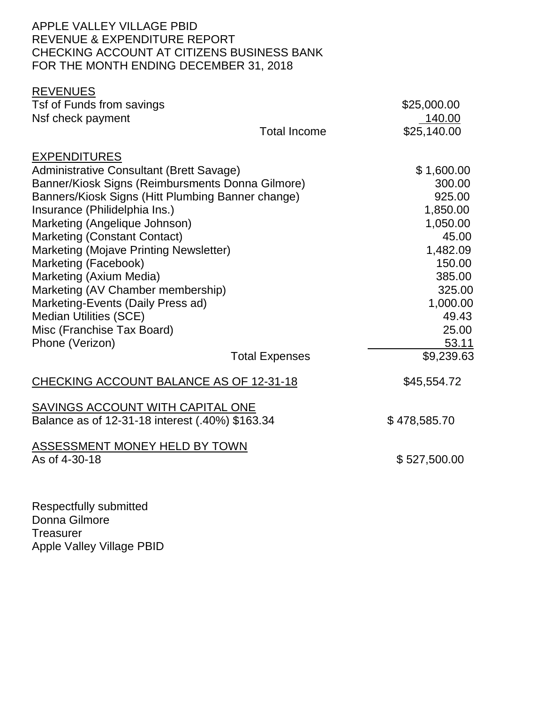#### APPLE VALLEY VILLAGE PBID REVENUE & EXPENDITURE REPORT CHECKING ACCOUNT AT CITIZENS BUSINESS BANK FOR THE MONTH ENDING DECEMBER 31, 2018

| <b>REVENUES</b>                                   |                       |              |
|---------------------------------------------------|-----------------------|--------------|
| Tsf of Funds from savings                         |                       | \$25,000.00  |
| Nsf check payment                                 |                       | 140.00       |
|                                                   | <b>Total Income</b>   | \$25,140.00  |
| <b>EXPENDITURES</b>                               |                       |              |
| <b>Administrative Consultant (Brett Savage)</b>   |                       | \$1,600.00   |
| Banner/Kiosk Signs (Reimbursments Donna Gilmore)  |                       | 300.00       |
| Banners/Kiosk Signs (Hitt Plumbing Banner change) |                       | 925.00       |
| Insurance (Philidelphia Ins.)                     |                       | 1,850.00     |
| Marketing (Angelique Johnson)                     |                       | 1,050.00     |
| <b>Marketing (Constant Contact)</b>               |                       | 45.00        |
| Marketing (Mojave Printing Newsletter)            |                       | 1,482.09     |
| Marketing (Facebook)                              |                       | 150.00       |
| Marketing (Axium Media)                           |                       | 385.00       |
| Marketing (AV Chamber membership)                 |                       | 325.00       |
| Marketing-Events (Daily Press ad)                 |                       | 1,000.00     |
| <b>Median Utilities (SCE)</b>                     |                       | 49.43        |
| Misc (Franchise Tax Board)                        |                       | 25.00        |
| Phone (Verizon)                                   |                       | 53.11        |
|                                                   | <b>Total Expenses</b> | \$9,239.63   |
| CHECKING ACCOUNT BALANCE AS OF 12-31-18           |                       | \$45,554.72  |
| SAVINGS ACCOUNT WITH CAPITAL ONE                  |                       |              |
| Balance as of 12-31-18 interest (.40%) \$163.34   |                       | \$478,585.70 |
| <b>ASSESSMENT MONEY HELD BY TOWN</b>              |                       |              |
| As of 4-30-18                                     |                       | \$527,500.00 |
|                                                   |                       |              |
|                                                   |                       |              |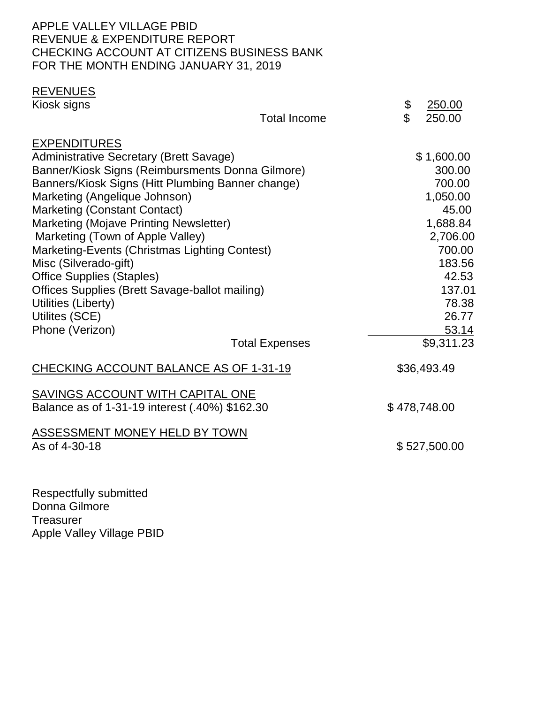#### APPLE VALLEY VILLAGE PBID REVENUE & EXPENDITURE REPORT CHECKING ACCOUNT AT CITIZENS BUSINESS BANK FOR THE MONTH ENDING JANUARY 31, 2019

## REVENUES

 $\overline{\text{Kiosk sians}}$   $\overline{\text{8}}$  250.00

|                                                                                                                                                                                                                                                                                           | <b>Total Income</b>   | $\mathfrak{L}$ | 250.00                                                                                   |
|-------------------------------------------------------------------------------------------------------------------------------------------------------------------------------------------------------------------------------------------------------------------------------------------|-----------------------|----------------|------------------------------------------------------------------------------------------|
| <b>EXPENDITURES</b><br>Administrative Secretary (Brett Savage)<br>Banner/Kiosk Signs (Reimbursments Donna Gilmore)<br>Banners/Kiosk Signs (Hitt Plumbing Banner change)<br>Marketing (Angelique Johnson)<br><b>Marketing (Constant Contact)</b><br>Marketing (Mojave Printing Newsletter) |                       |                | \$1,600.00<br>300.00<br>700.00<br>1,050.00<br>45.00<br>1,688.84                          |
| Marketing (Town of Apple Valley)<br>Marketing-Events (Christmas Lighting Contest)<br>Misc (Silverado-gift)<br><b>Office Supplies (Staples)</b><br>Offices Supplies (Brett Savage-ballot mailing)<br>Utilities (Liberty)<br>Utilites (SCE)<br>Phone (Verizon)                              | <b>Total Expenses</b> |                | 2,706.00<br>700.00<br>183.56<br>42.53<br>137.01<br>78.38<br>26.77<br>53.14<br>\$9,311.23 |
| CHECKING ACCOUNT BALANCE AS OF 1-31-19                                                                                                                                                                                                                                                    |                       |                | \$36,493.49                                                                              |
| SAVINGS ACCOUNT WITH CAPITAL ONE<br>Balance as of 1-31-19 interest (.40%) \$162.30                                                                                                                                                                                                        |                       |                | \$478,748.00                                                                             |
| <b>ASSESSMENT MONEY HELD BY TOWN</b><br>As of 4-30-18                                                                                                                                                                                                                                     |                       |                | \$527,500.00                                                                             |
|                                                                                                                                                                                                                                                                                           |                       |                |                                                                                          |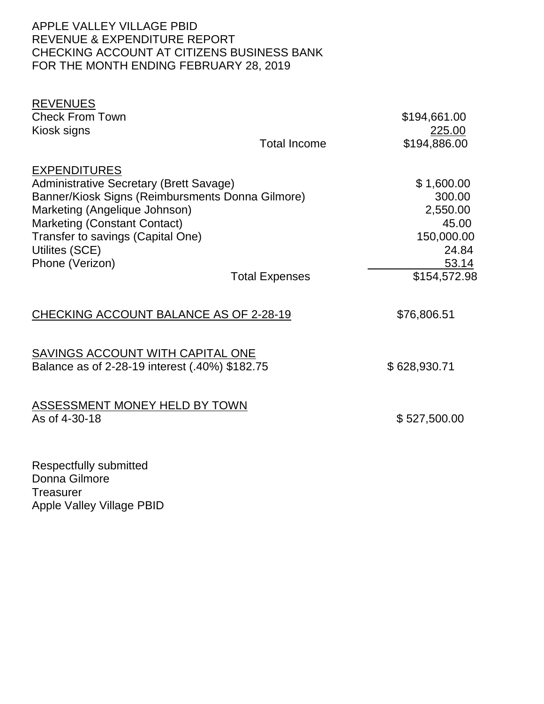#### APPLE VALLEY VILLAGE PBID REVENUE & EXPENDITURE REPORT CHECKING ACCOUNT AT CITIZENS BUSINESS BANK FOR THE MONTH ENDING FEBRUARY 28, 2019

| <b>REVENUES</b>                                                                    |                       |              |
|------------------------------------------------------------------------------------|-----------------------|--------------|
| <b>Check From Town</b>                                                             |                       | \$194,661.00 |
| Kiosk signs                                                                        |                       | 225.00       |
|                                                                                    | <b>Total Income</b>   | \$194,886.00 |
| <b>EXPENDITURES</b>                                                                |                       |              |
| Administrative Secretary (Brett Savage)                                            |                       | \$1,600.00   |
| Banner/Kiosk Signs (Reimbursments Donna Gilmore)                                   |                       | 300.00       |
| Marketing (Angelique Johnson)                                                      |                       | 2,550.00     |
| <b>Marketing (Constant Contact)</b>                                                |                       | 45.00        |
| Transfer to savings (Capital One)                                                  |                       | 150,000.00   |
| Utilites (SCE)                                                                     |                       | 24.84        |
| Phone (Verizon)                                                                    |                       | 53.14        |
|                                                                                    | <b>Total Expenses</b> | \$154,572.98 |
| CHECKING ACCOUNT BALANCE AS OF 2-28-19                                             |                       | \$76,806.51  |
| SAVINGS ACCOUNT WITH CAPITAL ONE<br>Balance as of 2-28-19 interest (.40%) \$182.75 |                       | \$628,930.71 |
|                                                                                    |                       |              |
| <b>ASSESSMENT MONEY HELD BY TOWN</b>                                               |                       |              |
| As of 4-30-18                                                                      |                       | \$527,500.00 |
|                                                                                    |                       |              |
| <b>Respectfully submitted</b><br>$D = 2$                                           |                       |              |

Donna Gilmore **Treasurer** Apple Valley Village PBID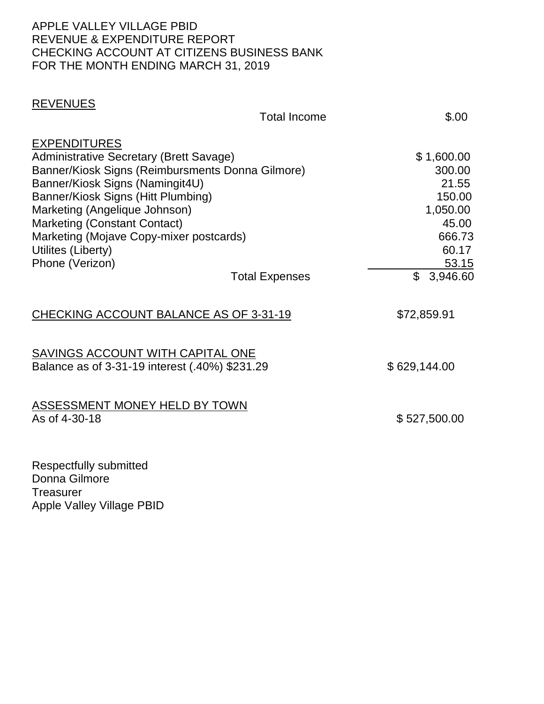#### APPLE VALLEY VILLAGE PBID REVENUE & EXPENDITURE REPORT CHECKING ACCOUNT AT CITIZENS BUSINESS BANK FOR THE MONTH ENDING MARCH 31, 2019

## REVENUES

|                                                                                                                                                                                                                                                                                                                                                  | <b>Total Income</b>   | \$.00                                                                                                  |
|--------------------------------------------------------------------------------------------------------------------------------------------------------------------------------------------------------------------------------------------------------------------------------------------------------------------------------------------------|-----------------------|--------------------------------------------------------------------------------------------------------|
| <b>EXPENDITURES</b><br>Administrative Secretary (Brett Savage)<br>Banner/Kiosk Signs (Reimbursments Donna Gilmore)<br>Banner/Kiosk Signs (Namingit4U)<br>Banner/Kiosk Signs (Hitt Plumbing)<br>Marketing (Angelique Johnson)<br>Marketing (Constant Contact)<br>Marketing (Mojave Copy-mixer postcards)<br>Utilites (Liberty)<br>Phone (Verizon) | <b>Total Expenses</b> | \$1,600.00<br>300.00<br>21.55<br>150.00<br>1,050.00<br>45.00<br>666.73<br>60.17<br>53.15<br>\$3,946.60 |
| CHECKING ACCOUNT BALANCE AS OF 3-31-19                                                                                                                                                                                                                                                                                                           |                       | \$72,859.91                                                                                            |
| SAVINGS ACCOUNT WITH CAPITAL ONE<br>Balance as of 3-31-19 interest (.40%) \$231.29                                                                                                                                                                                                                                                               |                       | \$629,144.00                                                                                           |
| <b>ASSESSMENT MONEY HELD BY TOWN</b><br>As of 4-30-18                                                                                                                                                                                                                                                                                            |                       | \$527,500.00                                                                                           |
| Respectfully submitted<br>$D - 222$                                                                                                                                                                                                                                                                                                              |                       |                                                                                                        |

Donna Gilmore **Treasurer** Apple Valley Village PBID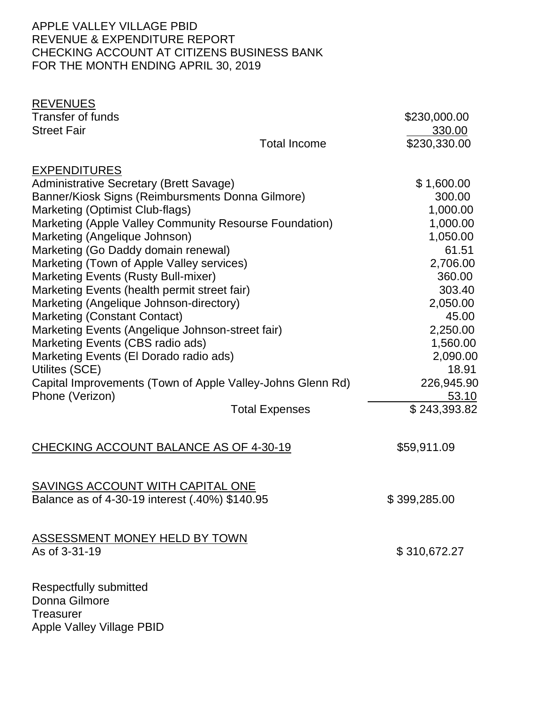#### APPLE VALLEY VILLAGE PBID REVENUE & EXPENDITURE REPORT CHECKING ACCOUNT AT CITIZENS BUSINESS BANK FOR THE MONTH ENDING APRIL 30, 2019

| <b>REVENUES</b><br><b>Transfer of funds</b><br><b>Street Fair</b> | <b>Total Income</b>   | \$230,000.00<br>330.00<br>\$230,330.00 |
|-------------------------------------------------------------------|-----------------------|----------------------------------------|
| <b>EXPENDITURES</b>                                               |                       |                                        |
| <b>Administrative Secretary (Brett Savage)</b>                    |                       | \$1,600.00                             |
| Banner/Kiosk Signs (Reimbursments Donna Gilmore)                  |                       | 300.00                                 |
| Marketing (Optimist Club-flags)                                   |                       | 1,000.00                               |
| Marketing (Apple Valley Community Resourse Foundation)            |                       | 1,000.00                               |
| Marketing (Angelique Johnson)                                     |                       | 1,050.00                               |
| Marketing (Go Daddy domain renewal)                               |                       | 61.51                                  |
| Marketing (Town of Apple Valley services)                         |                       | 2,706.00                               |
| <b>Marketing Events (Rusty Bull-mixer)</b>                        |                       | 360.00                                 |
| Marketing Events (health permit street fair)                      |                       | 303.40                                 |
| Marketing (Angelique Johnson-directory)                           |                       | 2,050.00                               |
| <b>Marketing (Constant Contact)</b>                               |                       | 45.00                                  |
| Marketing Events (Angelique Johnson-street fair)                  |                       | 2,250.00                               |
| Marketing Events (CBS radio ads)                                  |                       | 1,560.00                               |
| Marketing Events (El Dorado radio ads)                            |                       | 2,090.00                               |
| Utilites (SCE)                                                    |                       | 18.91                                  |
| Capital Improvements (Town of Apple Valley-Johns Glenn Rd)        |                       | 226,945.90                             |
| Phone (Verizon)                                                   |                       | 53.10                                  |
|                                                                   | <b>Total Expenses</b> | \$243,393.82                           |
| CHECKING ACCOUNT BALANCE AS OF 4-30-19                            |                       | \$59,911.09                            |
| <b>SAVINGS ACCOUNT WITH CAPITAL ONE</b>                           |                       |                                        |
| Balance as of 4-30-19 interest (.40%) \$140.95                    |                       | \$399,285.00                           |
|                                                                   |                       |                                        |
| ASSESSMENT MONEY HELD BY TOWN                                     |                       |                                        |
| As of 3-31-19                                                     |                       | \$310,672.27                           |
| <b>Respectfully submitted</b>                                     |                       |                                        |
| Donna Gilmore                                                     |                       |                                        |
| <b>Treasurer</b>                                                  |                       |                                        |
| Apple Valley Village PBID                                         |                       |                                        |